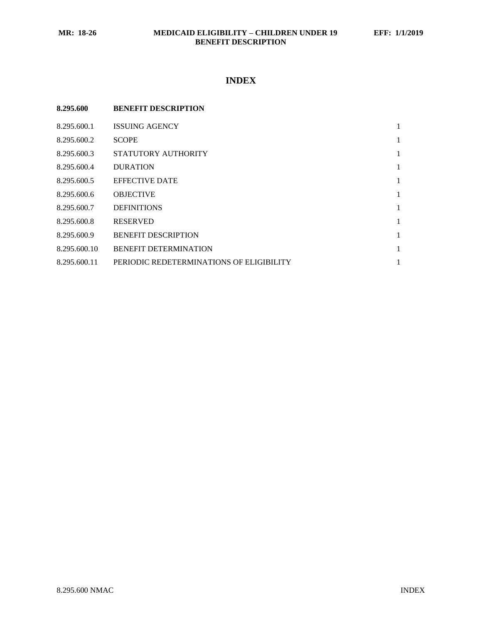# **INDEX**

| 8.295.600    | <b>BENEFIT DESCRIPTION</b>               |   |
|--------------|------------------------------------------|---|
| 8.295.600.1  | <b>ISSUING AGENCY</b>                    | 1 |
| 8.295.600.2  | <b>SCOPE</b>                             | 1 |
| 8.295.600.3  | STATUTORY AUTHORITY                      | 1 |
| 8.295.600.4  | <b>DURATION</b>                          | 1 |
| 8.295.600.5  | <b>EFFECTIVE DATE</b>                    | 1 |
| 8.295.600.6  | <b>OBJECTIVE</b>                         | 1 |
| 8.295.600.7  | <b>DEFINITIONS</b>                       | 1 |
| 8.295.600.8  | <b>RESERVED</b>                          | 1 |
| 8.295.600.9  | <b>BENEFIT DESCRIPTION</b>               | 1 |
| 8.295.600.10 | <b>BENEFIT DETERMINATION</b>             | 1 |
| 8.295.600.11 | PERIODIC REDETERMINATIONS OF ELIGIBILITY | 1 |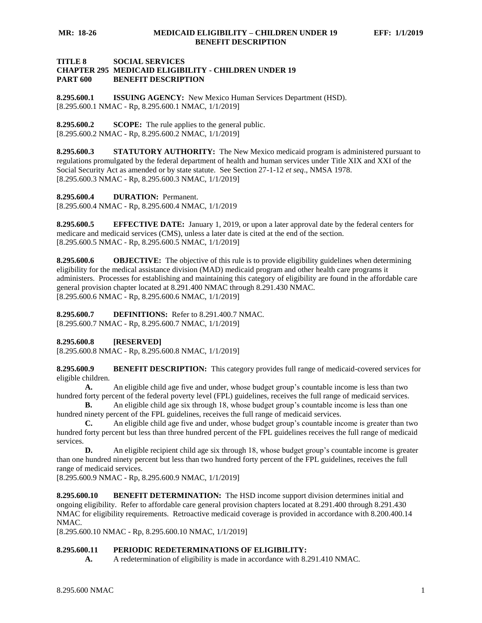## **TITLE 8 SOCIAL SERVICES CHAPTER 295 MEDICAID ELIGIBILITY - CHILDREN UNDER 19 PART 600 BENEFIT DESCRIPTION**

<span id="page-1-0"></span>**8.295.600.1 ISSUING AGENCY:** New Mexico Human Services Department (HSD). [8.295.600.1 NMAC - Rp, 8.295.600.1 NMAC, 1/1/2019]

<span id="page-1-1"></span>**8.295.600.2 SCOPE:** The rule applies to the general public. [8.295.600.2 NMAC - Rp, 8.295.600.2 NMAC, 1/1/2019]

<span id="page-1-2"></span>**8.295.600.3 STATUTORY AUTHORITY:** The New Mexico medicaid program is administered pursuant to regulations promulgated by the federal department of health and human services under Title XIX and XXI of the Social Security Act as amended or by state statute. See Section 27-1-12 *et seq*., NMSA 1978. [8.295.600.3 NMAC - Rp, 8.295.600.3 NMAC, 1/1/2019]

<span id="page-1-3"></span>**8.295.600.4 DURATION:** Permanent.

[8.295.600.4 NMAC - Rp, 8.295.600.4 NMAC, 1/1/2019

<span id="page-1-4"></span>**8.295.600.5 EFFECTIVE DATE:** January 1, 2019, or upon a later approval date by the federal centers for medicare and medicaid services (CMS), unless a later date is cited at the end of the section. [8.295.600.5 NMAC - Rp, 8.295.600.5 NMAC, 1/1/2019]

<span id="page-1-5"></span>**8.295.600.6 OBJECTIVE:** The objective of this rule is to provide eligibility guidelines when determining eligibility for the medical assistance division (MAD) medicaid program and other health care programs it administers. Processes for establishing and maintaining this category of eligibility are found in the affordable care general provision chapter located at 8.291.400 NMAC through 8.291.430 NMAC. [8.295.600.6 NMAC - Rp, 8.295.600.6 NMAC, 1/1/2019]

<span id="page-1-6"></span>**8.295.600.7 DEFINITIONS:** Refer to 8.291.400.7 NMAC. [8.295.600.7 NMAC - Rp, 8.295.600.7 NMAC, 1/1/2019]

<span id="page-1-7"></span>**8.295.600.8 [RESERVED]**

[8.295.600.8 NMAC - Rp, 8.295.600.8 NMAC, 1/1/2019]

<span id="page-1-8"></span>**8.295.600.9 BENEFIT DESCRIPTION:** This category provides full range of medicaid-covered services for eligible children.

**A.** An eligible child age five and under, whose budget group's countable income is less than two hundred forty percent of the federal poverty level (FPL) guidelines, receives the full range of medicaid services.

**B.** An eligible child age six through 18, whose budget group's countable income is less than one hundred ninety percent of the FPL guidelines, receives the full range of medicaid services.

**C.** An eligible child age five and under, whose budget group's countable income is greater than two hundred forty percent but less than three hundred percent of the FPL guidelines receives the full range of medicaid services.

**D.** An eligible recipient child age six through 18, whose budget group's countable income is greater than one hundred ninety percent but less than two hundred forty percent of the FPL guidelines, receives the full range of medicaid services.

[8.295.600.9 NMAC - Rp, 8.295.600.9 NMAC, 1/1/2019]

<span id="page-1-9"></span>**8.295.600.10 BENEFIT DETERMINATION:** The HSD income support division determines initial and ongoing eligibility. Refer to affordable care general provision chapters located at 8.291.400 through 8.291.430 NMAC for eligibility requirements. Retroactive medicaid coverage is provided in accordance with 8.200.400.14 NMAC.

[8.295.600.10 NMAC - Rp, 8.295.600.10 NMAC, 1/1/2019]

### <span id="page-1-10"></span>**8.295.600.11 PERIODIC REDETERMINATIONS OF ELIGIBILITY:**

**A.** A redetermination of eligibility is made in accordance with 8.291.410 NMAC.